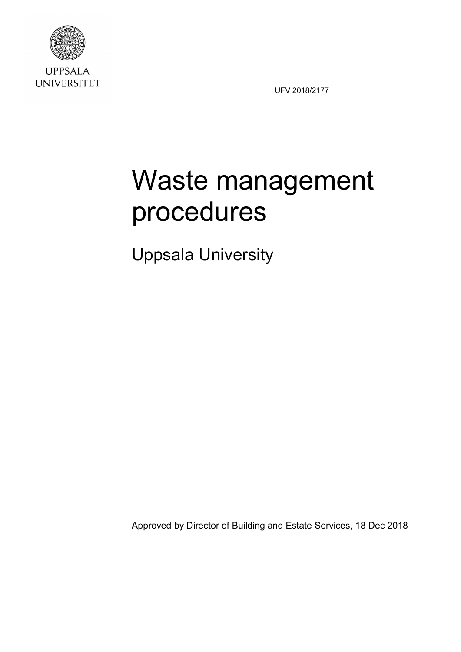

**UPPSALA UNIVERSITET** 

UFV 2018/2177

# Waste management procedures

Uppsala University

Approved by Director of Building and Estate Services, 18 Dec 2018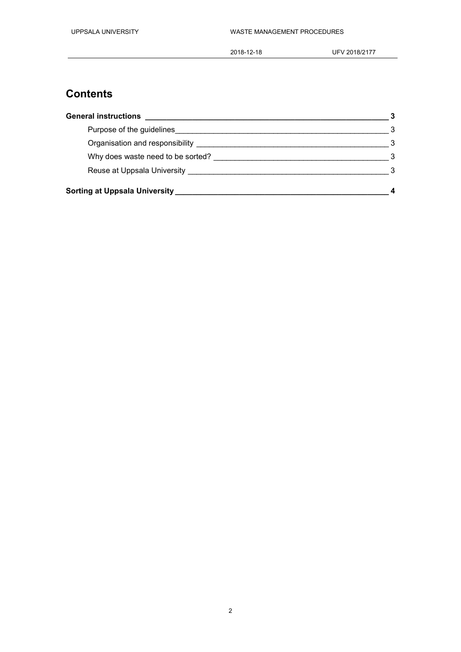#### **Contents**

| <b>General instructions</b>                     |  |
|-------------------------------------------------|--|
| Purpose of the guidelines                       |  |
| Organisation and responsibility                 |  |
| Why does waste need to be sorted?               |  |
| Reuse at Uppsala University <b>Example 2018</b> |  |
| Sorting at Uppsala University                   |  |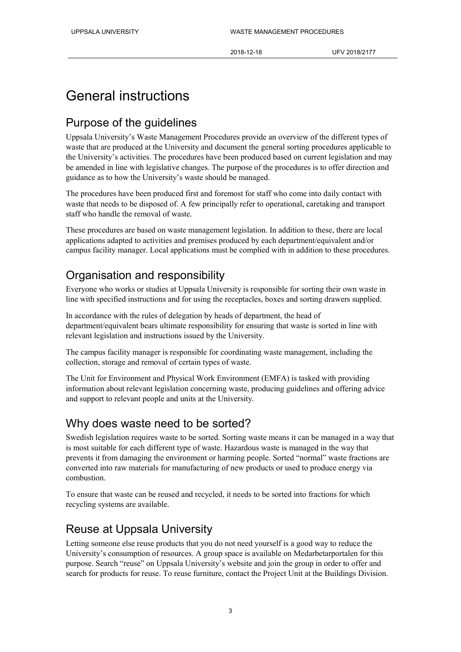### General instructions

#### Purpose of the guidelines

Uppsala University's Waste Management Procedures provide an overview of the different types of waste that are produced at the University and document the general sorting procedures applicable to the University's activities. The procedures have been produced based on current legislation and may be amended in line with legislative changes. The purpose of the procedures is to offer direction and guidance as to how the University's waste should be managed.

The procedures have been produced first and foremost for staff who come into daily contact with waste that needs to be disposed of. A few principally refer to operational, caretaking and transport staff who handle the removal of waste.

These procedures are based on waste management legislation. In addition to these, there are local applications adapted to activities and premises produced by each department/equivalent and/or campus facility manager. Local applications must be complied with in addition to these procedures.

#### Organisation and responsibility

Everyone who works or studies at Uppsala University is responsible for sorting their own waste in line with specified instructions and for using the receptacles, boxes and sorting drawers supplied.

In accordance with the rules of delegation by heads of department, the head of department/equivalent bears ultimate responsibility for ensuring that waste is sorted in line with relevant legislation and instructions issued by the University.

The campus facility manager is responsible for coordinating waste management, including the collection, storage and removal of certain types of waste.

The Unit for Environment and Physical Work Environment (EMFA) is tasked with providing information about relevant legislation concerning waste, producing guidelines and offering advice and support to relevant people and units at the University.

#### Why does waste need to be sorted?

Swedish legislation requires waste to be sorted. Sorting waste means it can be managed in a way that is most suitable for each different type of waste. Hazardous waste is managed in the way that prevents it from damaging the environment or harming people. Sorted "normal" waste fractions are converted into raw materials for manufacturing of new products or used to produce energy via combustion.

To ensure that waste can be reused and recycled, it needs to be sorted into fractions for which recycling systems are available.

#### Reuse at Uppsala University

Letting someone else reuse products that you do not need yourself is a good way to reduce the University's consumption of resources. A group space is available on Medarbetarportalen for this purpose. Search "reuse" on Uppsala University's website and join the group in order to offer and search for products for reuse. To reuse furniture, contact the Project Unit at the Buildings Division.